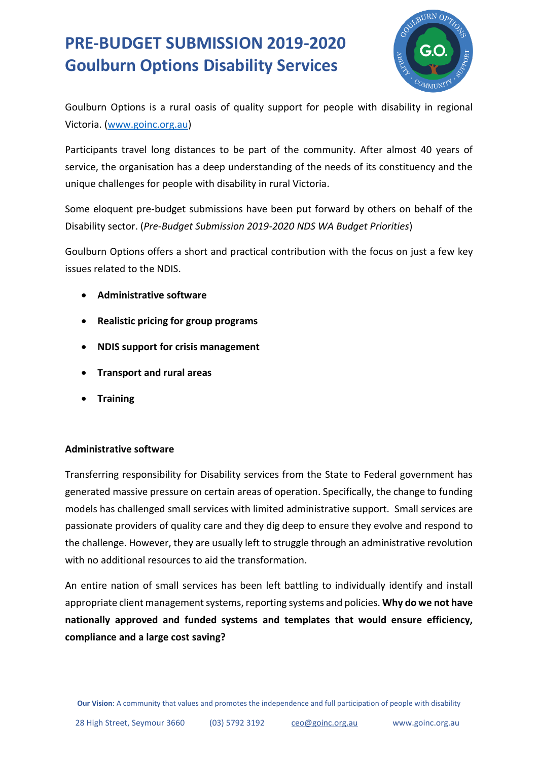# **PRE-BUDGET SUBMISSION 2019-2020 Goulburn Options Disability Services**



Goulburn Options is a rural oasis of quality support for people with disability in regional Victoria. [\(www.goinc.org.au\)](http://www.goinc.org.au/)

Participants travel long distances to be part of the community. After almost 40 years of service, the organisation has a deep understanding of the needs of its constituency and the unique challenges for people with disability in rural Victoria.

Some eloquent pre-budget submissions have been put forward by others on behalf of the Disability sector. (*Pre-Budget Submission 2019-2020 NDS WA Budget Priorities*)

Goulburn Options offers a short and practical contribution with the focus on just a few key issues related to the NDIS.

- **Administrative software**
- **Realistic pricing for group programs**
- **NDIS support for crisis management**
- **Transport and rural areas**
- **Training**

### **Administrative software**

Transferring responsibility for Disability services from the State to Federal government has generated massive pressure on certain areas of operation. Specifically, the change to funding models has challenged small services with limited administrative support. Small services are passionate providers of quality care and they dig deep to ensure they evolve and respond to the challenge. However, they are usually left to struggle through an administrative revolution with no additional resources to aid the transformation.

An entire nation of small services has been left battling to individually identify and install appropriate client management systems, reporting systems and policies. **Why do we not have nationally approved and funded systems and templates that would ensure efficiency, compliance and a large cost saving?**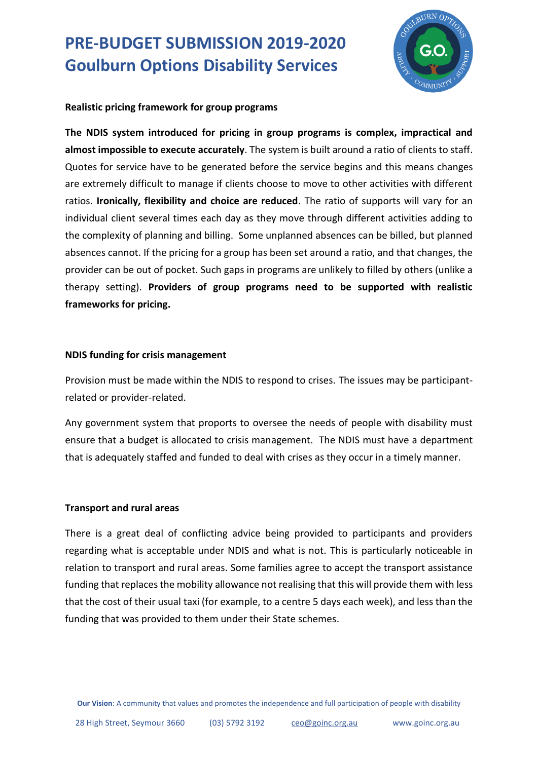## **PRE-BUDGET SUBMISSION 2019-2020 Goulburn Options Disability Services**



#### **Realistic pricing framework for group programs**

**The NDIS system introduced for pricing in group programs is complex, impractical and almost impossible to execute accurately**. The system is built around a ratio of clients to staff. Quotes for service have to be generated before the service begins and this means changes are extremely difficult to manage if clients choose to move to other activities with different ratios. **Ironically, flexibility and choice are reduced**. The ratio of supports will vary for an individual client several times each day as they move through different activities adding to the complexity of planning and billing. Some unplanned absences can be billed, but planned absences cannot. If the pricing for a group has been set around a ratio, and that changes, the provider can be out of pocket. Such gaps in programs are unlikely to filled by others (unlike a therapy setting). **Providers of group programs need to be supported with realistic frameworks for pricing.**

#### **NDIS funding for crisis management**

Provision must be made within the NDIS to respond to crises. The issues may be participantrelated or provider-related.

Any government system that proports to oversee the needs of people with disability must ensure that a budget is allocated to crisis management. The NDIS must have a department that is adequately staffed and funded to deal with crises as they occur in a timely manner.

#### **Transport and rural areas**

There is a great deal of conflicting advice being provided to participants and providers regarding what is acceptable under NDIS and what is not. This is particularly noticeable in relation to transport and rural areas. Some families agree to accept the transport assistance funding that replaces the mobility allowance not realising that this will provide them with less that the cost of their usual taxi (for example, to a centre 5 days each week), and less than the funding that was provided to them under their State schemes.

**Our Vision**: A community that values and promotes the independence and full participation of people with disability